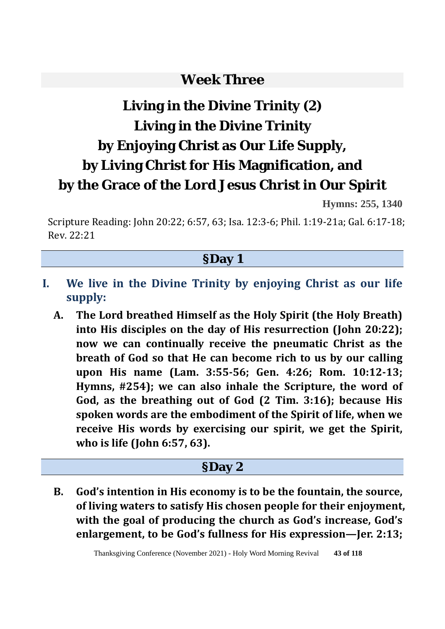### **Week Three**

# **Living in the Divine Trinity (2) Living in the Divine Trinity by Enjoying Christ as Our Life Supply, by Living Christ for His Magnification, and by the Grace of the Lord Jesus Christ in Our Spirit**

**Hymns: 255, 1340** 

Scripture Reading: John 20:22; 6:57, 63; Isa. 12:3-6; Phil. 1:19-21a; Gal. 6:17-18; Rev. 22:21

#### **§Day 1**

- **I. We live in the Divine Trinity by enjoying Christ as our life supply:**
	- **A. The Lord breathed Himself as the Holy Spirit (the Holy Breath) into His disciples on the day of His resurrection (John 20:22); now we can continually receive the pneumatic Christ as the breath of God so that He can become rich to us by our calling upon His name (Lam. 3:55-56; Gen. 4:26; Rom. 10:12-13; Hymns, #254); we can also inhale the Scripture, the word of God, as the breathing out of God (2 Tim. 3:16); because His spoken words are the embodiment of the Spirit of life, when we receive His words by exercising our spirit, we get the Spirit, who is life (John 6:57, 63).**

#### **§Day 2**

**B. God's intention in His economy is to be the fountain, the source, of living waters to satisfy His chosen people for their enjoyment, with the goal of producing the church as God's increase, God's enlargement, to be God's fullness for His expression—Jer. 2:13;** 

Thanksgiving Conference (November 2021) - Holy Word Morning Revival **43 of 118**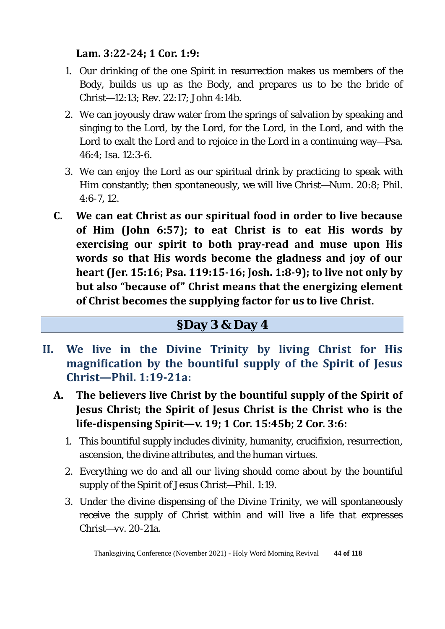**Lam. 3:22-24; 1 Cor. 1:9:** 

- 1. Our drinking of the one Spirit in resurrection makes us members of the Body, builds us up as the Body, and prepares us to be the bride of Christ—12:13; Rev. 22:17; John 4:14b.
- 2. We can joyously draw water from the springs of salvation by speaking and singing to the Lord, by the Lord, for the Lord, in the Lord, and with the Lord to exalt the Lord and to rejoice in the Lord in a continuing way—Psa. 46:4; Isa. 12:3-6.
- 3. We can enjoy the Lord as our spiritual drink by practicing to speak with Him constantly; then spontaneously, we will live Christ—Num. 20:8; Phil. 4:6-7, 12.
- **C. We can eat Christ as our spiritual food in order to live because of Him (John 6:57); to eat Christ is to eat His words by exercising our spirit to both pray-read and muse upon His words so that His words become the gladness and joy of our heart (Jer. 15:16; Psa. 119:15-16; Josh. 1:8-9); to live not only by but also "because of" Christ means that the energizing element of Christ becomes the supplying factor for us to live Christ.**

#### **§Day 3 & Day 4**

- **II. We live in the Divine Trinity by living Christ for His magnification by the bountiful supply of the Spirit of Jesus Christ—Phil. 1:19-21a:** 
	- **A. The believers live Christ by the bountiful supply of the Spirit of Jesus Christ; the Spirit of Jesus Christ is the Christ who is the life-dispensing Spirit—v. 19; 1 Cor. 15:45b; 2 Cor. 3:6:** 
		- 1. This bountiful supply includes divinity, humanity, crucifixion, resurrection, ascension, the divine attributes, and the human virtues.
		- 2. Everything we do and all our living should come about by the bountiful supply of the Spirit of Jesus Christ—Phil. 1:19.
		- 3. Under the divine dispensing of the Divine Trinity, we will spontaneously receive the supply of Christ within and will live a life that expresses Christ—vv. 20-21a.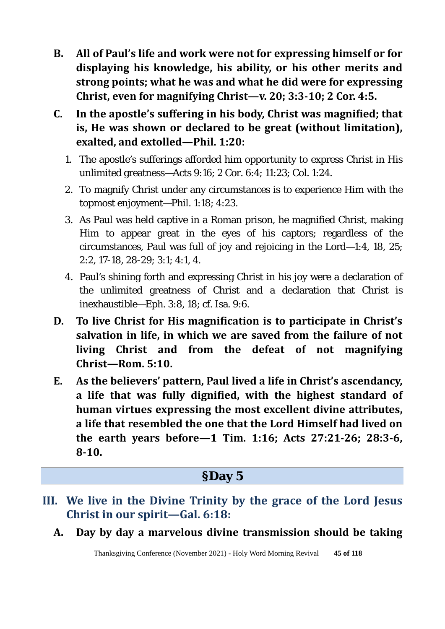- **B. All of Paul's life and work were not for expressing himself or for displaying his knowledge, his ability, or his other merits and strong points; what he was and what he did were for expressing Christ, even for magnifying Christ—v. 20; 3:3-10; 2 Cor. 4:5.**
- **C. In the apostle's suffering in his body, Christ was magnified; that is, He was shown or declared to be great (without limitation), exalted, and extolled—Phil. 1:20:** 
	- 1. The apostle's sufferings afforded him opportunity to express Christ in His unlimited greatness—Acts 9:16; 2 Cor. 6:4; 11:23; Col. 1:24.
	- 2. To magnify Christ under any circumstances is to experience Him with the topmost enjoyment—Phil. 1:18; 4:23.
	- 3. As Paul was held captive in a Roman prison, he magnified Christ, making Him to appear great in the eyes of his captors; regardless of the circumstances, Paul was full of joy and rejoicing in the Lord—1:4, 18, 25; 2:2, 17-18, 28-29; 3:1; 4:1, 4.
	- 4. Paul's shining forth and expressing Christ in his joy were a declaration of the unlimited greatness of Christ and a declaration that Christ is inexhaustible—Eph. 3:8, 18; cf. Isa. 9:6.
- **D. To live Christ for His magnification is to participate in Christ's salvation in life, in which we are saved from the failure of not living Christ and from the defeat of not magnifying Christ—Rom. 5:10.**
- **E. As the believers' pattern, Paul lived a life in Christ's ascendancy, a life that was fully dignified, with the highest standard of human virtues expressing the most excellent divine attributes, a life that resembled the one that the Lord Himself had lived on the earth years before—1 Tim. 1:16; Acts 27:21-26; 28:3-6, 8-10.**

#### **§Day 5**

- **III. We live in the Divine Trinity by the grace of the Lord Jesus Christ in our spirit—Gal. 6:18:**
	- **A. Day by day a marvelous divine transmission should be taking**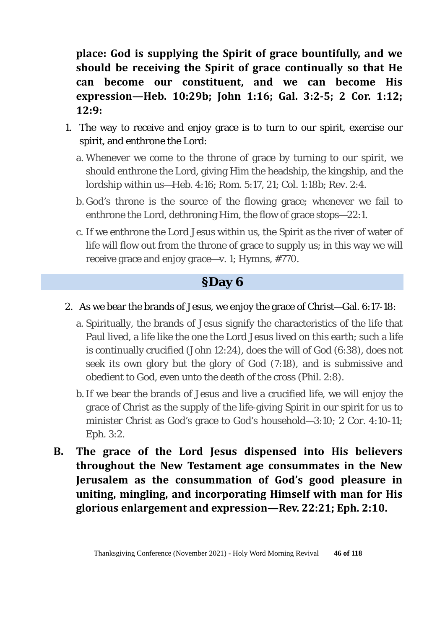**place: God is supplying the Spirit of grace bountifully, and we should be receiving the Spirit of grace continually so that He can become our constituent, and we can become His expression—Heb. 10:29b; John 1:16; Gal. 3:2-5; 2 Cor. 1:12; 12:9:** 

- 1. The way to receive and enjoy grace is to turn to our spirit, exercise our spirit, and enthrone the Lord:
	- a. Whenever we come to the throne of grace by turning to our spirit, we should enthrone the Lord, giving Him the headship, the kingship, and the lordship within us—Heb. 4:16; Rom. 5:17, 21; Col. 1:18b; Rev. 2:4.
	- b. God's throne is the source of the flowing grace; whenever we fail to enthrone the Lord, dethroning Him, the flow of grace stops—22:1.
	- c. If we enthrone the Lord Jesus within us, the Spirit as the river of water of life will flow out from the throne of grace to supply us; in this way we will receive grace and enjoy grace—v. 1; Hymns, #770.

#### **§Day 6**

#### 2. As we bear the brands of Jesus, we enjoy the grace of Christ—Gal. 6:17-18:

- a. Spiritually, the brands of Jesus signify the characteristics of the life that Paul lived, a life like the one the Lord Jesus lived on this earth; such a life is continually crucified (John 12:24), does the will of God (6:38), does not seek its own glory but the glory of God (7:18), and is submissive and obedient to God, even unto the death of the cross (Phil. 2:8).
- b.If we bear the brands of Jesus and live a crucified life, we will enjoy the grace of Christ as the supply of the life-giving Spirit in our spirit for us to minister Christ as God's grace to God's household—3:10; 2 Cor. 4:10-11; Eph. 3:2.
- **B. The grace of the Lord Jesus dispensed into His believers throughout the New Testament age consummates in the New Jerusalem as the consummation of God's good pleasure in uniting, mingling, and incorporating Himself with man for His glorious enlargement and expression—Rev. 22:21; Eph. 2:10.**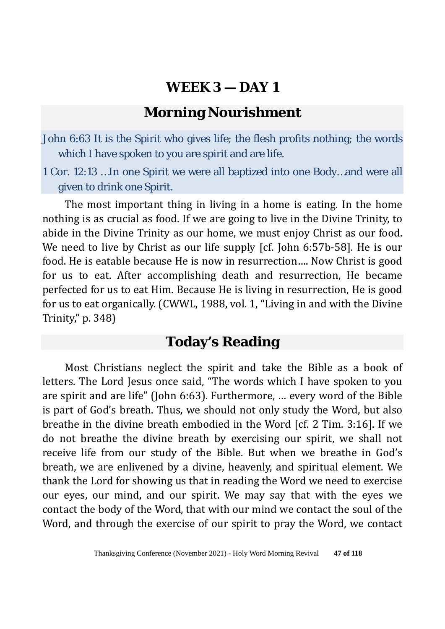#### **Morning Nourishment**

John 6:63 It is the Spirit who gives life; the flesh profits nothing; the words which I have spoken to you are spirit and are life.

1 Cor. 12:13 …In one Spirit we were all baptized into one Body…and were all given to drink one Spirit.

The most important thing in living in a home is eating. In the home nothing is as crucial as food. If we are going to live in the Divine Trinity, to abide in the Divine Trinity as our home, we must enjoy Christ as our food. We need to live by Christ as our life supply [cf. John 6:57b-58]. He is our food. He is eatable because He is now in resurrection…. Now Christ is good for us to eat. After accomplishing death and resurrection, He became perfected for us to eat Him. Because He is living in resurrection, He is good for us to eat organically. (CWWL, 1988, vol. 1, "Living in and with the Divine Trinity," p. 348)

# **Today's Reading**

Most Christians neglect the spirit and take the Bible as a book of letters. The Lord Jesus once said, "The words which I have spoken to you are spirit and are life" (John 6:63). Furthermore, … every word of the Bible is part of God's breath. Thus, we should not only study the Word, but also breathe in the divine breath embodied in the Word [cf. 2 Tim. 3:16]. If we do not breathe the divine breath by exercising our spirit, we shall not receive life from our study of the Bible. But when we breathe in God's breath, we are enlivened by a divine, heavenly, and spiritual element. We thank the Lord for showing us that in reading the Word we need to exercise our eyes, our mind, and our spirit. We may say that with the eyes we contact the body of the Word, that with our mind we contact the soul of the Word, and through the exercise of our spirit to pray the Word, we contact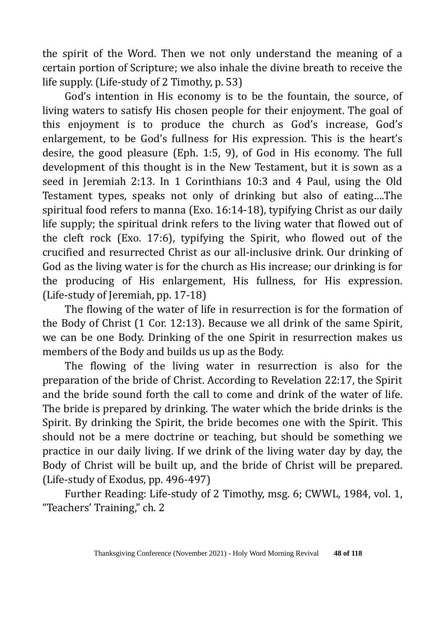the spirit of the Word. Then we not only understand the meaning of a certain portion of Scripture; we also inhale the divine breath to receive the life supply. (Life-study of 2 Timothy, p. 53)

God's intention in His economy is to be the fountain, the source, of living waters to satisfy His chosen people for their enjoyment. The goal of this enjoyment is to produce the church as God's increase, God's enlargement, to be God's fullness for His expression. This is the heart's desire, the good pleasure (Eph. 1:5, 9), of God in His economy. The full development of this thought is in the New Testament, but it is sown as a seed in Jeremiah 2:13. In 1 Corinthians 10:3 and 4 Paul, using the Old Testament types, speaks not only of drinking but also of eating….The spiritual food refers to manna (Exo. 16:14-18), typifying Christ as our daily life supply; the spiritual drink refers to the living water that flowed out of the cleft rock (Exo. 17:6), typifying the Spirit, who flowed out of the crucified and resurrected Christ as our all-inclusive drink. Our drinking of God as the living water is for the church as His increase; our drinking is for the producing of His enlargement, His fullness, for His expression. (Life-study of Jeremiah, pp. 17-18)

The flowing of the water of life in resurrection is for the formation of the Body of Christ (1 Cor. 12:13). Because we all drink of the same Spirit, we can be one Body. Drinking of the one Spirit in resurrection makes us members of the Body and builds us up as the Body.

The flowing of the living water in resurrection is also for the preparation of the bride of Christ. According to Revelation 22:17, the Spirit and the bride sound forth the call to come and drink of the water of life. The bride is prepared by drinking. The water which the bride drinks is the Spirit. By drinking the Spirit, the bride becomes one with the Spirit. This should not be a mere doctrine or teaching, but should be something we practice in our daily living. If we drink of the living water day by day, the Body of Christ will be built up, and the bride of Christ will be prepared. (Life-study of Exodus, pp. 496-497)

Further Reading: Life-study of 2 Timothy, msg. 6; CWWL, 1984, vol. 1, "Teachers' Training," ch. 2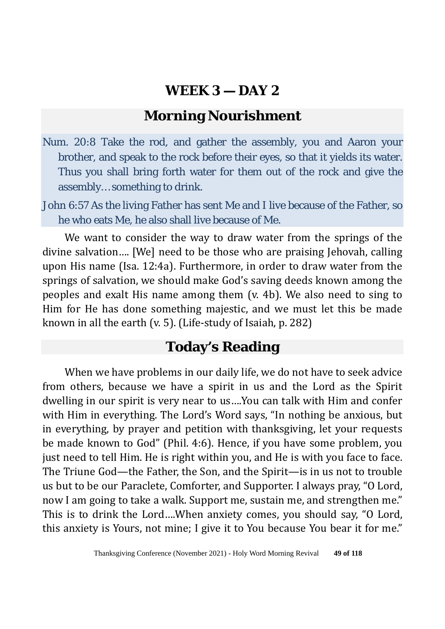# **Morning Nourishment**

- Num. 20:8 Take the rod, and gather the assembly, you and Aaron your brother, and speak to the rock before their eyes, so that it yields its water. Thus you shall bring forth water for them out of the rock and give the assembly… something to drink.
- John 6:57 As the living Father has sent Me and I live because of the Father, so he who eats Me, he also shall live because of Me.

We want to consider the way to draw water from the springs of the divine salvation…. [We] need to be those who are praising Jehovah, calling upon His name (Isa. 12:4a). Furthermore, in order to draw water from the springs of salvation, we should make God's saving deeds known among the peoples and exalt His name among them (v. 4b). We also need to sing to Him for He has done something majestic, and we must let this be made known in all the earth (v. 5). (Life-study of Isaiah, p. 282)

# **Today's Reading**

When we have problems in our daily life, we do not have to seek advice from others, because we have a spirit in us and the Lord as the Spirit dwelling in our spirit is very near to us….You can talk with Him and confer with Him in everything. The Lord's Word says, "In nothing be anxious, but in everything, by prayer and petition with thanksgiving, let your requests be made known to God" (Phil. 4:6). Hence, if you have some problem, you just need to tell Him. He is right within you, and He is with you face to face. The Triune God—the Father, the Son, and the Spirit—is in us not to trouble us but to be our Paraclete, Comforter, and Supporter. I always pray, "O Lord, now I am going to take a walk. Support me, sustain me, and strengthen me." This is to drink the Lord….When anxiety comes, you should say, "O Lord, this anxiety is Yours, not mine; I give it to You because You bear it for me."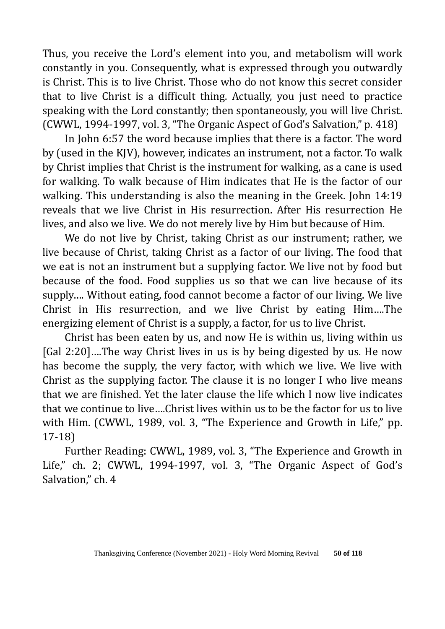Thus, you receive the Lord's element into you, and metabolism will work constantly in you. Consequently, what is expressed through you outwardly is Christ. This is to live Christ. Those who do not know this secret consider that to live Christ is a difficult thing. Actually, you just need to practice speaking with the Lord constantly; then spontaneously, you will live Christ. (CWWL, 1994-1997, vol. 3, "The Organic Aspect of God's Salvation," p. 418)

In John 6:57 the word because implies that there is a factor. The word by (used in the KJV), however, indicates an instrument, not a factor. To walk by Christ implies that Christ is the instrument for walking, as a cane is used for walking. To walk because of Him indicates that He is the factor of our walking. This understanding is also the meaning in the Greek. John 14:19 reveals that we live Christ in His resurrection. After His resurrection He lives, and also we live. We do not merely live by Him but because of Him.

We do not live by Christ, taking Christ as our instrument; rather, we live because of Christ, taking Christ as a factor of our living. The food that we eat is not an instrument but a supplying factor. We live not by food but because of the food. Food supplies us so that we can live because of its supply…. Without eating, food cannot become a factor of our living. We live Christ in His resurrection, and we live Christ by eating Him….The energizing element of Christ is a supply, a factor, for us to live Christ.

Christ has been eaten by us, and now He is within us, living within us [Gal 2:20]….The way Christ lives in us is by being digested by us. He now has become the supply, the very factor, with which we live. We live with Christ as the supplying factor. The clause it is no longer I who live means that we are finished. Yet the later clause the life which I now live indicates that we continue to live….Christ lives within us to be the factor for us to live with Him. (CWWL, 1989, vol. 3, "The Experience and Growth in Life," pp. 17-18)

Further Reading: CWWL, 1989, vol. 3, "The Experience and Growth in Life," ch. 2; CWWL, 1994-1997, vol. 3, "The Organic Aspect of God's Salvation," ch. 4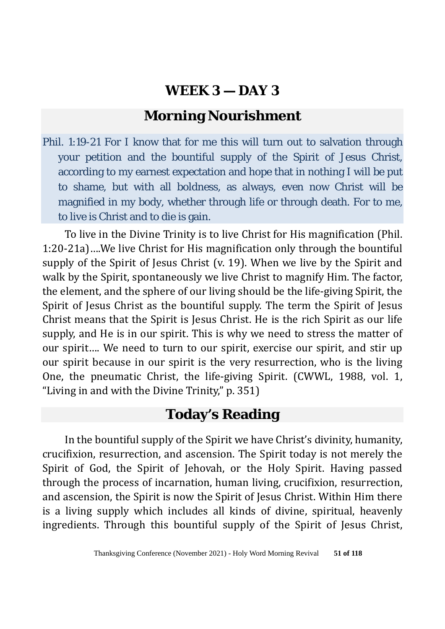# **Morning Nourishment**

Phil. 1:19-21 For I know that for me this will turn out to salvation through your petition and the bountiful supply of the Spirit of Jesus Christ, according to my earnest expectation and hope that in nothing I will be put to shame, but with all boldness, as always, even now Christ will be magnified in my body, whether through life or through death. For to me, to live is Christ and to die is gain.

To live in the Divine Trinity is to live Christ for His magnification (Phil. 1:20-21a)….We live Christ for His magnification only through the bountiful supply of the Spirit of Jesus Christ (v. 19). When we live by the Spirit and walk by the Spirit, spontaneously we live Christ to magnify Him. The factor, the element, and the sphere of our living should be the life-giving Spirit, the Spirit of Jesus Christ as the bountiful supply. The term the Spirit of Jesus Christ means that the Spirit is Jesus Christ. He is the rich Spirit as our life supply, and He is in our spirit. This is why we need to stress the matter of our spirit…. We need to turn to our spirit, exercise our spirit, and stir up our spirit because in our spirit is the very resurrection, who is the living One, the pneumatic Christ, the life-giving Spirit. (CWWL, 1988, vol. 1, "Living in and with the Divine Trinity," p. 351)

# **Today's Reading**

In the bountiful supply of the Spirit we have Christ's divinity, humanity, crucifixion, resurrection, and ascension. The Spirit today is not merely the Spirit of God, the Spirit of Jehovah, or the Holy Spirit. Having passed through the process of incarnation, human living, crucifixion, resurrection, and ascension, the Spirit is now the Spirit of Jesus Christ. Within Him there is a living supply which includes all kinds of divine, spiritual, heavenly ingredients. Through this bountiful supply of the Spirit of Jesus Christ,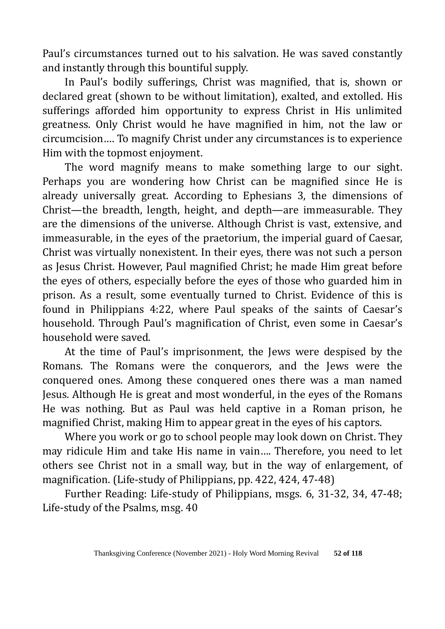Paul's circumstances turned out to his salvation. He was saved constantly and instantly through this bountiful supply.

In Paul's bodily sufferings, Christ was magnified, that is, shown or declared great (shown to be without limitation), exalted, and extolled. His sufferings afforded him opportunity to express Christ in His unlimited greatness. Only Christ would he have magnified in him, not the law or circumcision…. To magnify Christ under any circumstances is to experience Him with the topmost enjoyment.

The word magnify means to make something large to our sight. Perhaps you are wondering how Christ can be magnified since He is already universally great. According to Ephesians 3, the dimensions of Christ—the breadth, length, height, and depth—are immeasurable. They are the dimensions of the universe. Although Christ is vast, extensive, and immeasurable, in the eyes of the praetorium, the imperial guard of Caesar, Christ was virtually nonexistent. In their eyes, there was not such a person as Jesus Christ. However, Paul magnified Christ; he made Him great before the eyes of others, especially before the eyes of those who guarded him in prison. As a result, some eventually turned to Christ. Evidence of this is found in Philippians 4:22, where Paul speaks of the saints of Caesar's household. Through Paul's magnification of Christ, even some in Caesar's household were saved.

At the time of Paul's imprisonment, the Jews were despised by the Romans. The Romans were the conquerors, and the Jews were the conquered ones. Among these conquered ones there was a man named Jesus. Although He is great and most wonderful, in the eyes of the Romans He was nothing. But as Paul was held captive in a Roman prison, he magnified Christ, making Him to appear great in the eyes of his captors.

Where you work or go to school people may look down on Christ. They may ridicule Him and take His name in vain…. Therefore, you need to let others see Christ not in a small way, but in the way of enlargement, of magnification. (Life-study of Philippians, pp. 422, 424, 47-48)

Further Reading: Life-study of Philippians, msgs. 6, 31-32, 34, 47-48; Life-study of the Psalms, msg. 40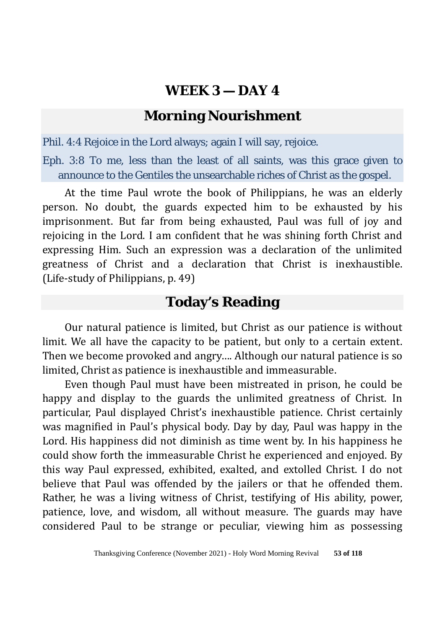### **Morning Nourishment**

Phil. 4:4 Rejoice in the Lord always; again I will say, rejoice.

Eph. 3:8 To me, less than the least of all saints, was this grace given to announce to the Gentiles the unsearchable riches of Christ as the gospel.

At the time Paul wrote the book of Philippians, he was an elderly person. No doubt, the guards expected him to be exhausted by his imprisonment. But far from being exhausted, Paul was full of joy and rejoicing in the Lord. I am confident that he was shining forth Christ and expressing Him. Such an expression was a declaration of the unlimited greatness of Christ and a declaration that Christ is inexhaustible. (Life-study of Philippians, p. 49)

# **Today's Reading**

Our natural patience is limited, but Christ as our patience is without limit. We all have the capacity to be patient, but only to a certain extent. Then we become provoked and angry…. Although our natural patience is so limited, Christ as patience is inexhaustible and immeasurable.

Even though Paul must have been mistreated in prison, he could be happy and display to the guards the unlimited greatness of Christ. In particular, Paul displayed Christ's inexhaustible patience. Christ certainly was magnified in Paul's physical body. Day by day, Paul was happy in the Lord. His happiness did not diminish as time went by. In his happiness he could show forth the immeasurable Christ he experienced and enjoyed. By this way Paul expressed, exhibited, exalted, and extolled Christ. I do not believe that Paul was offended by the jailers or that he offended them. Rather, he was a living witness of Christ, testifying of His ability, power, patience, love, and wisdom, all without measure. The guards may have considered Paul to be strange or peculiar, viewing him as possessing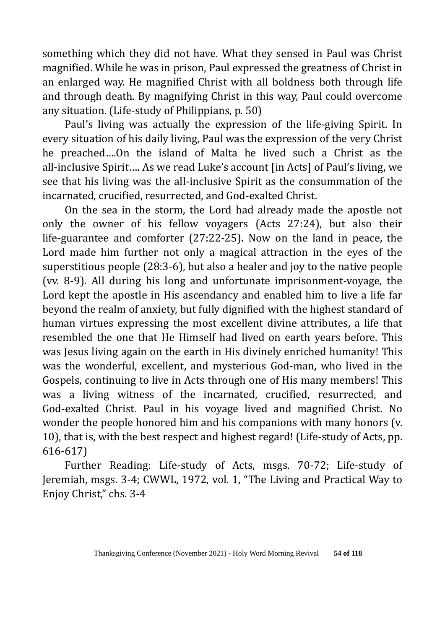something which they did not have. What they sensed in Paul was Christ magnified. While he was in prison, Paul expressed the greatness of Christ in an enlarged way. He magnified Christ with all boldness both through life and through death. By magnifying Christ in this way, Paul could overcome any situation. (Life-study of Philippians, p. 50)

Paul's living was actually the expression of the life-giving Spirit. In every situation of his daily living, Paul was the expression of the very Christ he preached….On the island of Malta he lived such a Christ as the all-inclusive Spirit…. As we read Luke's account [in Acts] of Paul's living, we see that his living was the all-inclusive Spirit as the consummation of the incarnated, crucified, resurrected, and God-exalted Christ.

On the sea in the storm, the Lord had already made the apostle not only the owner of his fellow voyagers (Acts 27:24), but also their life-guarantee and comforter (27:22-25). Now on the land in peace, the Lord made him further not only a magical attraction in the eyes of the superstitious people (28:3-6), but also a healer and joy to the native people (vv. 8-9). All during his long and unfortunate imprisonment-voyage, the Lord kept the apostle in His ascendancy and enabled him to live a life far beyond the realm of anxiety, but fully dignified with the highest standard of human virtues expressing the most excellent divine attributes, a life that resembled the one that He Himself had lived on earth years before. This was Jesus living again on the earth in His divinely enriched humanity! This was the wonderful, excellent, and mysterious God-man, who lived in the Gospels, continuing to live in Acts through one of His many members! This was a living witness of the incarnated, crucified, resurrected, and God-exalted Christ. Paul in his voyage lived and magnified Christ. No wonder the people honored him and his companions with many honors (v. 10), that is, with the best respect and highest regard! (Life-study of Acts, pp. 616-617)

Further Reading: Life-study of Acts, msgs. 70-72; Life-study of Jeremiah, msgs. 3-4; CWWL, 1972, vol. 1, "The Living and Practical Way to Enjoy Christ," chs. 3-4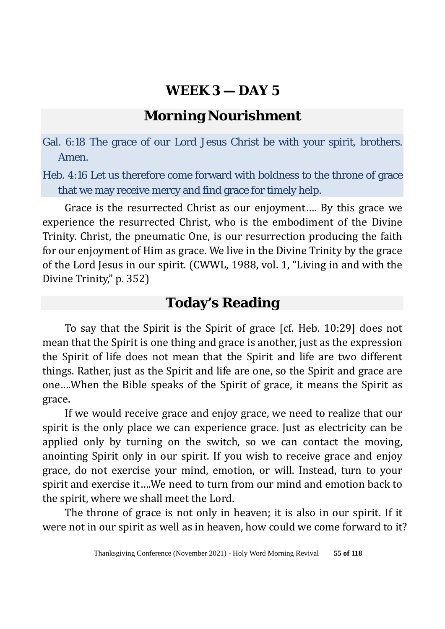# **Morning Nourishment**

Gal. 6:18 The grace of our Lord Jesus Christ be with your spirit, brothers. Amen.

Heb. 4:16 Let us therefore come forward with boldness to the throne of grace that we may receive mercy and find grace for timely help.

Grace is the resurrected Christ as our enjoyment…. By this grace we experience the resurrected Christ, who is the embodiment of the Divine Trinity. Christ, the pneumatic One, is our resurrection producing the faith for our enjoyment of Him as grace. We live in the Divine Trinity by the grace of the Lord Jesus in our spirit. (CWWL, 1988, vol. 1, "Living in and with the Divine Trinity," p. 352)

### **Today's Reading**

To say that the Spirit is the Spirit of grace [cf. Heb. 10:29] does not mean that the Spirit is one thing and grace is another, just as the expression the Spirit of life does not mean that the Spirit and life are two different things. Rather, just as the Spirit and life are one, so the Spirit and grace are one….When the Bible speaks of the Spirit of grace, it means the Spirit as grace.

If we would receive grace and enjoy grace, we need to realize that our spirit is the only place we can experience grace. Just as electricity can be applied only by turning on the switch, so we can contact the moving, anointing Spirit only in our spirit. If you wish to receive grace and enjoy grace, do not exercise your mind, emotion, or will. Instead, turn to your spirit and exercise it….We need to turn from our mind and emotion back to the spirit, where we shall meet the Lord.

The throne of grace is not only in heaven; it is also in our spirit. If it were not in our spirit as well as in heaven, how could we come forward to it?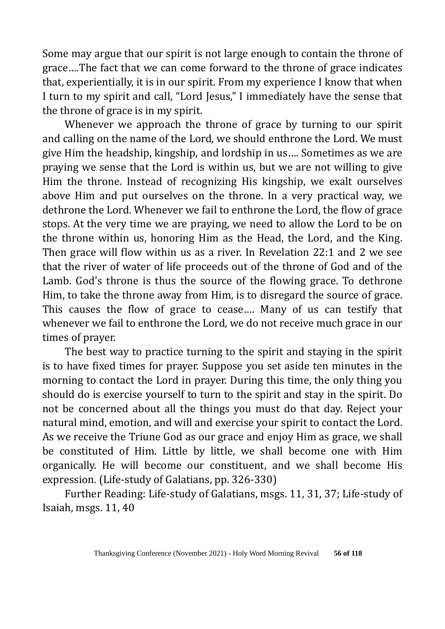Some may argue that our spirit is not large enough to contain the throne of grace….The fact that we can come forward to the throne of grace indicates that, experientially, it is in our spirit. From my experience I know that when I turn to my spirit and call, "Lord Jesus," I immediately have the sense that the throne of grace is in my spirit.

Whenever we approach the throne of grace by turning to our spirit and calling on the name of the Lord, we should enthrone the Lord. We must give Him the headship, kingship, and lordship in us…. Sometimes as we are praying we sense that the Lord is within us, but we are not willing to give Him the throne. Instead of recognizing His kingship, we exalt ourselves above Him and put ourselves on the throne. In a very practical way, we dethrone the Lord. Whenever we fail to enthrone the Lord, the flow of grace stops. At the very time we are praying, we need to allow the Lord to be on the throne within us, honoring Him as the Head, the Lord, and the King. Then grace will flow within us as a river. In Revelation 22:1 and 2 we see that the river of water of life proceeds out of the throne of God and of the Lamb. God's throne is thus the source of the flowing grace. To dethrone Him, to take the throne away from Him, is to disregard the source of grace. This causes the flow of grace to cease…. Many of us can testify that whenever we fail to enthrone the Lord, we do not receive much grace in our times of prayer.

The best way to practice turning to the spirit and staying in the spirit is to have fixed times for prayer. Suppose you set aside ten minutes in the morning to contact the Lord in prayer. During this time, the only thing you should do is exercise yourself to turn to the spirit and stay in the spirit. Do not be concerned about all the things you must do that day. Reject your natural mind, emotion, and will and exercise your spirit to contact the Lord. As we receive the Triune God as our grace and enjoy Him as grace, we shall be constituted of Him. Little by little, we shall become one with Him organically. He will become our constituent, and we shall become His expression. (Life-study of Galatians, pp. 326-330)

Further Reading: Life-study of Galatians, msgs. 11, 31, 37; Life-study of Isaiah, msgs. 11, 40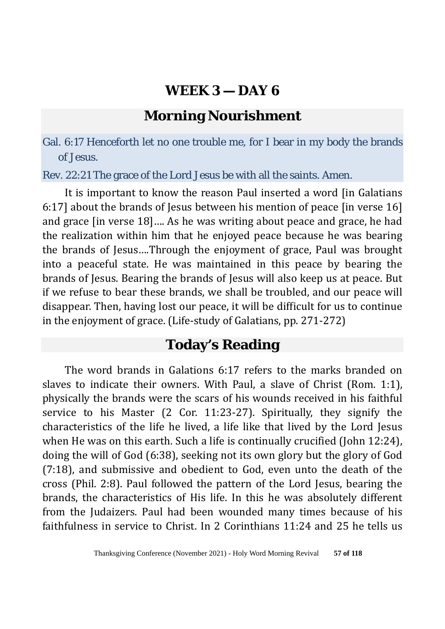### **Morning Nourishment**

Gal. 6:17 Henceforth let no one trouble me, for I bear in my body the brands of Jesus.

Rev. 22:21 The grace of the Lord Jesus be with all the saints. Amen.

It is important to know the reason Paul inserted a word [in Galatians 6:17] about the brands of Jesus between his mention of peace [in verse 16] and grace [in verse 18]…. As he was writing about peace and grace, he had the realization within him that he enjoyed peace because he was bearing the brands of Jesus….Through the enjoyment of grace, Paul was brought into a peaceful state. He was maintained in this peace by bearing the brands of Jesus. Bearing the brands of Jesus will also keep us at peace. But if we refuse to bear these brands, we shall be troubled, and our peace will disappear. Then, having lost our peace, it will be difficult for us to continue in the enjoyment of grace. (Life-study of Galatians, pp. 271-272)

#### **Today's Reading**

The word brands in Galations 6:17 refers to the marks branded on slaves to indicate their owners. With Paul, a slave of Christ (Rom. 1:1), physically the brands were the scars of his wounds received in his faithful service to his Master (2 Cor. 11:23-27). Spiritually, they signify the characteristics of the life he lived, a life like that lived by the Lord Jesus when He was on this earth. Such a life is continually crucified (John 12:24), doing the will of God (6:38), seeking not its own glory but the glory of God (7:18), and submissive and obedient to God, even unto the death of the cross (Phil. 2:8). Paul followed the pattern of the Lord Jesus, bearing the brands, the characteristics of His life. In this he was absolutely different from the Judaizers. Paul had been wounded many times because of his faithfulness in service to Christ. In 2 Corinthians 11:24 and 25 he tells us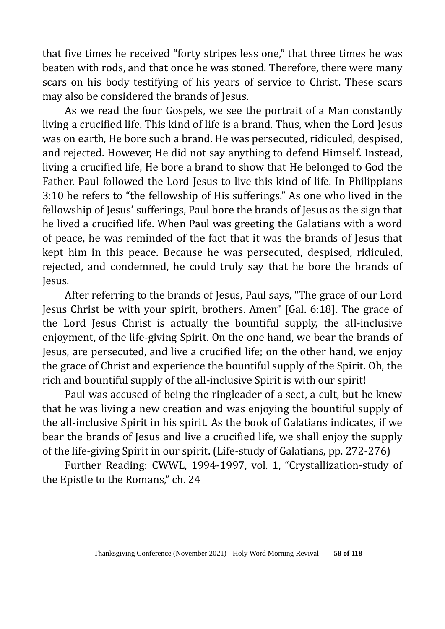that five times he received "forty stripes less one," that three times he was beaten with rods, and that once he was stoned. Therefore, there were many scars on his body testifying of his years of service to Christ. These scars may also be considered the brands of Jesus.

As we read the four Gospels, we see the portrait of a Man constantly living a crucified life. This kind of life is a brand. Thus, when the Lord Jesus was on earth, He bore such a brand. He was persecuted, ridiculed, despised, and rejected. However, He did not say anything to defend Himself. Instead, living a crucified life, He bore a brand to show that He belonged to God the Father. Paul followed the Lord Jesus to live this kind of life. In Philippians 3:10 he refers to "the fellowship of His sufferings." As one who lived in the fellowship of Jesus' sufferings, Paul bore the brands of Jesus as the sign that he lived a crucified life. When Paul was greeting the Galatians with a word of peace, he was reminded of the fact that it was the brands of Jesus that kept him in this peace. Because he was persecuted, despised, ridiculed, rejected, and condemned, he could truly say that he bore the brands of Jesus.

After referring to the brands of Jesus, Paul says, "The grace of our Lord Jesus Christ be with your spirit, brothers. Amen" [Gal. 6:18]. The grace of the Lord Jesus Christ is actually the bountiful supply, the all-inclusive enjoyment, of the life-giving Spirit. On the one hand, we bear the brands of Jesus, are persecuted, and live a crucified life; on the other hand, we enjoy the grace of Christ and experience the bountiful supply of the Spirit. Oh, the rich and bountiful supply of the all-inclusive Spirit is with our spirit!

Paul was accused of being the ringleader of a sect, a cult, but he knew that he was living a new creation and was enjoying the bountiful supply of the all-inclusive Spirit in his spirit. As the book of Galatians indicates, if we bear the brands of Jesus and live a crucified life, we shall enjoy the supply of the life-giving Spirit in our spirit. (Life-study of Galatians, pp. 272-276)

Further Reading: CWWL, 1994-1997, vol. 1, "Crystallization-study of the Epistle to the Romans," ch. 24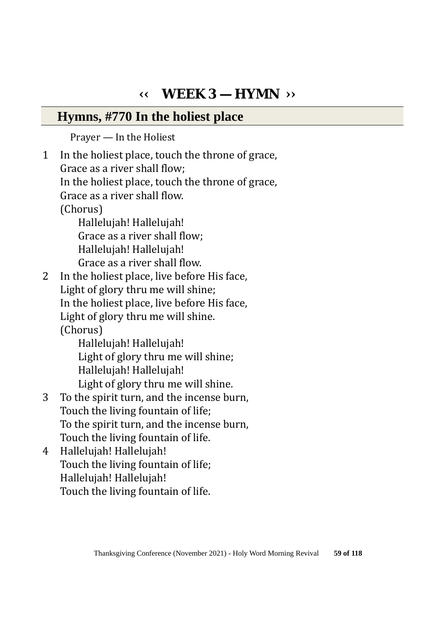# **‹‹ WEEK 3 — HYMN ››**

#### **Hymns, #770 In the holiest place**

Prayer — In the Holiest

1 In the holiest place, touch the throne of grace, Grace as a river shall flow; In the holiest place, touch the throne of grace, Grace as a river shall flow. (Chorus) Hallelujah! Hallelujah! Grace as a river shall flow; Hallelujah! Hallelujah! Grace as a river shall flow.<br>2 In the holiest place, live before In the holiest place, live before His face, Light of glory thru me will shine; In the holiest place, live before His face, Light of glory thru me will shine. (Chorus) Hallelujah! Hallelujah! Light of glory thru me will shine; Hallelujah! Hallelujah! Light of glory thru me will shine.<br>3 To the spirit turn, and the incense bu To the spirit turn, and the incense burn, Touch the living fountain of life; To the spirit turn, and the incense burn, Touch the living fountain of life. 4 Hallelujah! Hallelujah!

 Touch the living fountain of life; Hallelujah! Hallelujah! Touch the living fountain of life.